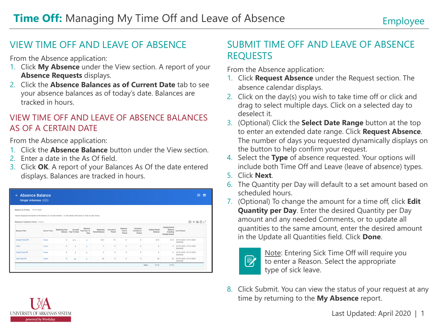## VIEW TIME OFF AND LEAVE OF ABSENCE

From the Absence application:

- 1. Click **My Absence** under the View section. A report of your **Absence Requests** displays.
- 2. Click the **Absence Balances as of Current Date** tab to see your absence balances as of today's date. Balances are tracked in hours.

#### VIEW TIME OFF AND LEAVE OF ABSENCE BALANCES AS OF A CERTAIN DATE

From the Absence application:

I INIVERSITY OF ARKANSAS SYSTEM powered by Workday

- 1. Click the **Absence Balance** button under the View section.
- 2. Enter a date in the As Of field.
- 3. Click **OK**. A report of your Balances As Of the date entered displays. Balances are tracked in hours.

| $\leftarrow$ Absence Balance<br><b>Ginger Arkansas (Actions)</b>                                                 |              |                |                                 |                                 |                             |                      |                              |                                     |                                 |                                                                | 骨<br>囲                                  |
|------------------------------------------------------------------------------------------------------------------|--------------|----------------|---------------------------------|---------------------------------|-----------------------------|----------------------|------------------------------|-------------------------------------|---------------------------------|----------------------------------------------------------------|-----------------------------------------|
| Balance As Of Date 07/31/2020                                                                                    |              |                |                                 |                                 |                             |                      |                              |                                     |                                 |                                                                |                                         |
| Values displayed are based on the Balance As Of Date entered. To view details drill down on Year to Date values. |              |                |                                 |                                 |                             |                      |                              |                                     |                                 |                                                                |                                         |
| <b>Balances Tracked in Hours</b> 4 items                                                                         |              |                |                                 |                                 |                             |                      |                              |                                     |                                 |                                                                | 困っ血口い                                   |
| Absence Plan                                                                                                     | Unit of Time | Beginning Year | Accrued<br>Balance Year To Date | Absence<br>Paid Year To<br>Date | Beginning<br>Period Balance | Accrued in<br>Period | Absence<br>Paid in<br>Period | Carryover<br>Forfeited in<br>Period | <b>Ending Period</b><br>Balance | <b>Ending Period</b><br>Balance<br>Including<br>Pending Events | As of Period                            |
|                                                                                                                  |              |                |                                 |                                 |                             |                      |                              |                                     |                                 |                                                                |                                         |
|                                                                                                                  | <b>Hours</b> | $\Omega$       | 67.5                            | $\Omega$                        | 52.5                        | 15                   | $\Omega$                     | $\theta$                            | 67.5                            | 67.5                                                           | 07/01/2020 - 07/31/2020<br>(Monthly)    |
|                                                                                                                  | Hours        | $\Omega$       | 8                               | $\circ$                         | 8                           | $\Omega$             | 0                            | $\theta$                            | $\mathcal{R}$                   |                                                                | 8 07/01/2020 - 07/31/2020<br>(Monthly)  |
|                                                                                                                  | Hours        | $\Omega$       | $\Omega$                        | $\Omega$                        | $\Omega$                    | $\Omega$             | $\Omega$                     | $\theta$                            | $\Omega$                        | $\Omega$                                                       | 07/01/2020 - 07/31/2020<br>(Monthly)    |
| Annual Time Off<br>CEAL<br>Comp Time Off<br>Sick Time Off                                                        | Hours        | $\Omega$       | 36                              | $\circ$                         | 28                          |                      | $\circ$                      | $\theta$                            | 36                              |                                                                | 36 07/01/2020 - 07/31/2020<br>(Monthly) |

## SUBMIT TIME OFF AND LEAVE OF ABSENCE REQUESTS

From the Absence application:

- 1. Click **Request Absence** under the Request section. The absence calendar displays.
- 2. Click on the day(s) you wish to take time off or click and drag to select multiple days. Click on a selected day to deselect it.
- 3. (Optional) Click the **Select Date Range** button at the top to enter an extended date range. Click **Request Absence**. The number of days you requested dynamically displays on the button to help confirm your request.
- 4. Select the **Type** of absence requested. Your options will include both Time Off and Leave (leave of absence) types.
- 5. Click **Next**.
- 6. The Quantity per Day will default to a set amount based on scheduled hours.
- 7. (Optional) To change the amount for a time off, click **Edit Quantity per Day**. Enter the desired Quantity per Day amount and any needed Comments, or to update all quantities to the same amount, enter the desired amount in the Update all Quantities field. Click **Done**.

| -<br>--- |
|----------|
|          |

Note: Entering Sick Time Off will require you to enter a Reason. Select the appropriate type of sick leave.

8. Click Submit. You can view the status of your request at any time by returning to the **My Absence** report.